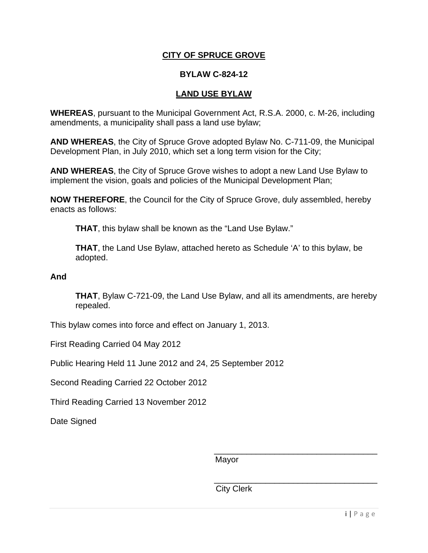# **CITY OF SPRUCE GROVE**

### **BYLAW C-824-12**

### **LAND USE BYLAW**

**WHEREAS**, pursuant to the Municipal Government Act, R.S.A. 2000, c. M-26, including amendments, a municipality shall pass a land use bylaw;

**AND WHEREAS**, the City of Spruce Grove adopted Bylaw No. C-711-09, the Municipal Development Plan, in July 2010, which set a long term vision for the City;

**AND WHEREAS**, the City of Spruce Grove wishes to adopt a new Land Use Bylaw to implement the vision, goals and policies of the Municipal Development Plan;

**NOW THEREFORE**, the Council for the City of Spruce Grove, duly assembled, hereby enacts as follows:

 **THAT**, this bylaw shall be known as the "Land Use Bylaw."

 **THAT**, the Land Use Bylaw, attached hereto as Schedule 'A' to this bylaw, be adopted.

**And** 

 **THAT**, Bylaw C-721-09, the Land Use Bylaw, and all its amendments, are hereby repealed.

This bylaw comes into force and effect on January 1, 2013.

First Reading Carried 04 May 2012

Public Hearing Held 11 June 2012 and 24, 25 September 2012

Second Reading Carried 22 October 2012

Third Reading Carried 13 November 2012

Date Signed

Mayor

City Clerk

\_\_\_\_\_\_\_\_\_\_\_\_\_\_\_\_\_\_\_\_\_\_\_\_\_\_\_\_\_\_\_\_\_\_\_

\_\_\_\_\_\_\_\_\_\_\_\_\_\_\_\_\_\_\_\_\_\_\_\_\_\_\_\_\_\_\_\_\_\_\_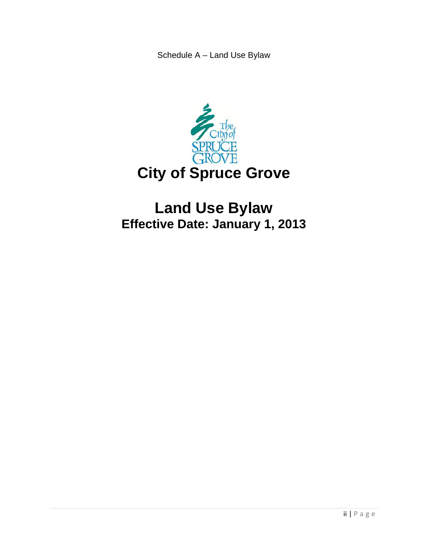Schedule A – Land Use Bylaw



# **Land Use Bylaw Effective Date: January 1, 2013**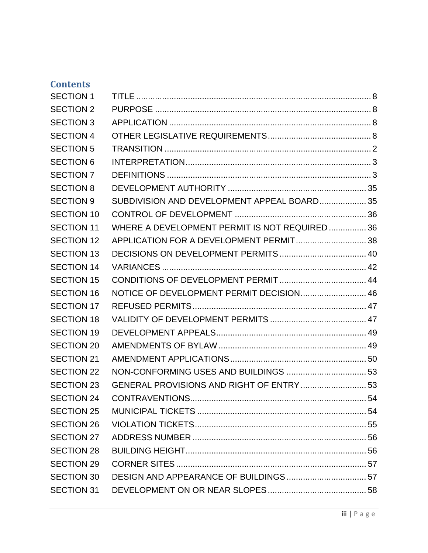# **Contents**

| <b>SECTION 1</b>  |                                               |  |
|-------------------|-----------------------------------------------|--|
| <b>SECTION 2</b>  |                                               |  |
| <b>SECTION 3</b>  |                                               |  |
| <b>SECTION 4</b>  |                                               |  |
| <b>SECTION 5</b>  |                                               |  |
| <b>SECTION 6</b>  |                                               |  |
| <b>SECTION 7</b>  |                                               |  |
| <b>SECTION 8</b>  |                                               |  |
| <b>SECTION 9</b>  | SUBDIVISION AND DEVELOPMENT APPEAL BOARD 35   |  |
| <b>SECTION 10</b> |                                               |  |
| <b>SECTION 11</b> | WHERE A DEVELOPMENT PERMIT IS NOT REQUIRED 36 |  |
| <b>SECTION 12</b> | APPLICATION FOR A DEVELOPMENT PERMIT 38       |  |
| <b>SECTION 13</b> |                                               |  |
| <b>SECTION 14</b> |                                               |  |
| <b>SECTION 15</b> |                                               |  |
| <b>SECTION 16</b> | NOTICE OF DEVELOPMENT PERMIT DECISION 46      |  |
| <b>SECTION 17</b> |                                               |  |
| <b>SECTION 18</b> |                                               |  |
| <b>SECTION 19</b> |                                               |  |
| <b>SECTION 20</b> |                                               |  |
| <b>SECTION 21</b> |                                               |  |
| <b>SECTION 22</b> |                                               |  |
| <b>SECTION 23</b> | GENERAL PROVISIONS AND RIGHT OF ENTRY  53     |  |
| <b>SECTION 24</b> |                                               |  |
| <b>SECTION 25</b> |                                               |  |
| <b>SECTION 26</b> |                                               |  |
| <b>SECTION 27</b> |                                               |  |
| <b>SECTION 28</b> |                                               |  |
| <b>SECTION 29</b> |                                               |  |
| <b>SECTION 30</b> |                                               |  |
| <b>SECTION 31</b> |                                               |  |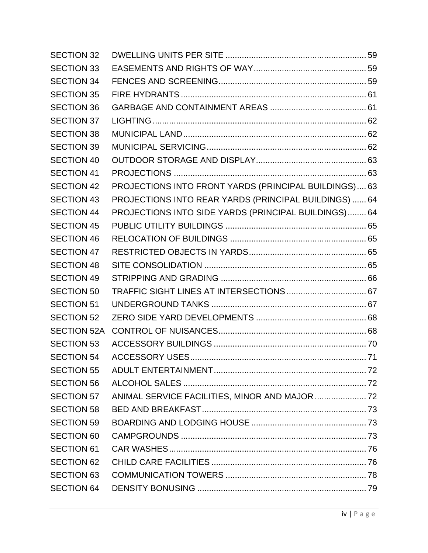| <b>SECTION 32</b>  |                                                       |  |
|--------------------|-------------------------------------------------------|--|
| <b>SECTION 33</b>  |                                                       |  |
| <b>SECTION 34</b>  |                                                       |  |
| <b>SECTION 35</b>  |                                                       |  |
| <b>SECTION 36</b>  |                                                       |  |
| <b>SECTION 37</b>  |                                                       |  |
| <b>SECTION 38</b>  |                                                       |  |
| <b>SECTION 39</b>  |                                                       |  |
| <b>SECTION 40</b>  |                                                       |  |
| <b>SECTION 41</b>  |                                                       |  |
| <b>SECTION 42</b>  | PROJECTIONS INTO FRONT YARDS (PRINCIPAL BUILDINGS) 63 |  |
| <b>SECTION 43</b>  | PROJECTIONS INTO REAR YARDS (PRINCIPAL BUILDINGS)  64 |  |
| <b>SECTION 44</b>  | PROJECTIONS INTO SIDE YARDS (PRINCIPAL BUILDINGS) 64  |  |
| <b>SECTION 45</b>  |                                                       |  |
| <b>SECTION 46</b>  |                                                       |  |
| <b>SECTION 47</b>  |                                                       |  |
| <b>SECTION 48</b>  |                                                       |  |
| <b>SECTION 49</b>  |                                                       |  |
| <b>SECTION 50</b>  |                                                       |  |
| <b>SECTION 51</b>  |                                                       |  |
| <b>SECTION 52</b>  |                                                       |  |
| <b>SECTION 52A</b> |                                                       |  |
| <b>SECTION 53</b>  |                                                       |  |
| <b>SECTION 54</b>  |                                                       |  |
| <b>SECTION 55</b>  |                                                       |  |
| <b>SECTION 56</b>  |                                                       |  |
| <b>SECTION 57</b>  | ANIMAL SERVICE FACILITIES, MINOR AND MAJOR  72        |  |
| <b>SECTION 58</b>  |                                                       |  |
| <b>SECTION 59</b>  |                                                       |  |
| <b>SECTION 60</b>  |                                                       |  |
| <b>SECTION 61</b>  |                                                       |  |
| <b>SECTION 62</b>  |                                                       |  |
| <b>SECTION 63</b>  |                                                       |  |
| <b>SECTION 64</b>  |                                                       |  |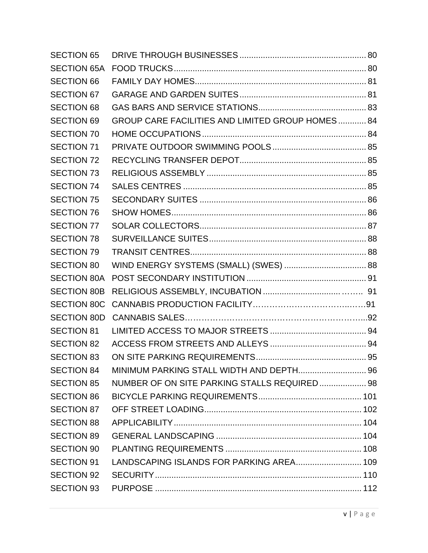| <b>SECTION 65</b>  |                                                  |  |
|--------------------|--------------------------------------------------|--|
| <b>SECTION 65A</b> |                                                  |  |
| <b>SECTION 66</b>  |                                                  |  |
| <b>SECTION 67</b>  |                                                  |  |
| <b>SECTION 68</b>  |                                                  |  |
| <b>SECTION 69</b>  | GROUP CARE FACILITIES AND LIMITED GROUP HOMES 84 |  |
| <b>SECTION 70</b>  |                                                  |  |
| <b>SECTION 71</b>  |                                                  |  |
| <b>SECTION 72</b>  |                                                  |  |
| <b>SECTION 73</b>  |                                                  |  |
| <b>SECTION 74</b>  |                                                  |  |
| <b>SECTION 75</b>  |                                                  |  |
| <b>SECTION 76</b>  |                                                  |  |
| <b>SECTION 77</b>  |                                                  |  |
| <b>SECTION 78</b>  |                                                  |  |
| <b>SECTION 79</b>  |                                                  |  |
| <b>SECTION 80</b>  | WIND ENERGY SYSTEMS (SMALL) (SWES)  88           |  |
| <b>SECTION 80A</b> |                                                  |  |
| <b>SECTION 80B</b> |                                                  |  |
| <b>SECTION 80C</b> |                                                  |  |
| <b>SECTION 80D</b> |                                                  |  |
| <b>SECTION 81</b>  |                                                  |  |
| <b>SECTION 82</b>  |                                                  |  |
| <b>SECTION 83</b>  |                                                  |  |
| <b>SECTION 84</b>  |                                                  |  |
| <b>SECTION 85</b>  | NUMBER OF ON SITE PARKING STALLS REQUIRED 98     |  |
| <b>SECTION 86</b>  |                                                  |  |
| <b>SECTION 87</b>  |                                                  |  |
| <b>SECTION 88</b>  |                                                  |  |
| <b>SECTION 89</b>  |                                                  |  |
| <b>SECTION 90</b>  |                                                  |  |
| <b>SECTION 91</b>  | LANDSCAPING ISLANDS FOR PARKING AREA 109         |  |
| <b>SECTION 92</b>  |                                                  |  |
| <b>SECTION 93</b>  |                                                  |  |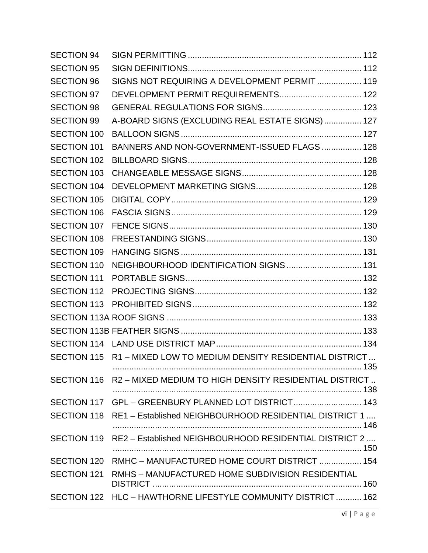| <b>SECTION 94</b>  |                                                                    |  |
|--------------------|--------------------------------------------------------------------|--|
| <b>SECTION 95</b>  |                                                                    |  |
| <b>SECTION 96</b>  | SIGNS NOT REQUIRING A DEVELOPMENT PERMIT  119                      |  |
| <b>SECTION 97</b>  | DEVELOPMENT PERMIT REQUIREMENTS 122                                |  |
| <b>SECTION 98</b>  |                                                                    |  |
| <b>SECTION 99</b>  | A-BOARD SIGNS (EXCLUDING REAL ESTATE SIGNS)  127                   |  |
| <b>SECTION 100</b> |                                                                    |  |
| <b>SECTION 101</b> | BANNERS AND NON-GOVERNMENT-ISSUED FLAGS  128                       |  |
| <b>SECTION 102</b> |                                                                    |  |
| <b>SECTION 103</b> |                                                                    |  |
| <b>SECTION 104</b> |                                                                    |  |
| <b>SECTION 105</b> |                                                                    |  |
| <b>SECTION 106</b> |                                                                    |  |
| <b>SECTION 107</b> |                                                                    |  |
| <b>SECTION 108</b> |                                                                    |  |
| <b>SECTION 109</b> |                                                                    |  |
| <b>SECTION 110</b> | NEIGHBOURHOOD IDENTIFICATION SIGNS  131                            |  |
| <b>SECTION 111</b> |                                                                    |  |
| SECTION 112        |                                                                    |  |
|                    |                                                                    |  |
|                    |                                                                    |  |
|                    |                                                                    |  |
|                    |                                                                    |  |
|                    | SECTION 115 R1 - MIXED LOW TO MEDIUM DENSITY RESIDENTIAL DISTRICT  |  |
|                    | SECTION 116 R2 - MIXED MEDIUM TO HIGH DENSITY RESIDENTIAL DISTRICT |  |
|                    | SECTION 117 GPL - GREENBURY PLANNED LOT DISTRICT 143               |  |
|                    | SECTION 118 RE1 - Established NEIGHBOURHOOD RESIDENTIAL DISTRICT 1 |  |
| SECTION 119        | RE2 - Established NEIGHBOURHOOD RESIDENTIAL DISTRICT 2             |  |
|                    | SECTION 120 RMHC - MANUFACTURED HOME COURT DISTRICT  154           |  |
| SECTION 121        | RMHS - MANUFACTURED HOME SUBDIVISION RESIDENTIAL                   |  |
|                    | SECTION 122 HLC - HAWTHORNE LIFESTYLE COMMUNITY DISTRICT 162       |  |
|                    |                                                                    |  |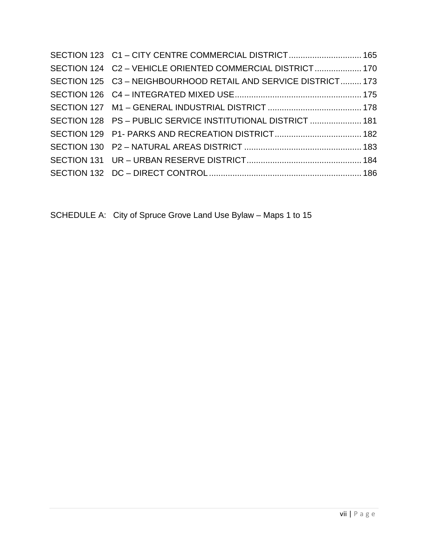| SECTION 123 C1 - CITY CENTRE COMMERCIAL DISTRICT 165           |
|----------------------------------------------------------------|
| SECTION 124 C2 - VEHICLE ORIENTED COMMERCIAL DISTRICT 170      |
| SECTION 125 C3 - NEIGHBOURHOOD RETAIL AND SERVICE DISTRICT 173 |
|                                                                |
|                                                                |
| SECTION 128 PS - PUBLIC SERVICE INSTITUTIONAL DISTRICT  181    |
|                                                                |
|                                                                |
|                                                                |
|                                                                |

SCHEDULE A: City of Spruce Grove Land Use Bylaw – Maps 1 to 15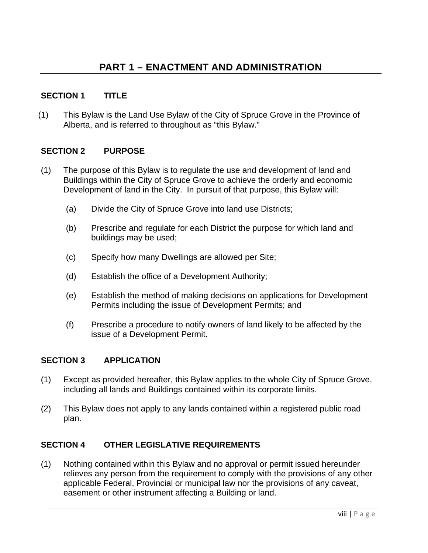# **SECTION 1 TITLE**

(1) This Bylaw is the Land Use Bylaw of the City of Spruce Grove in the Province of Alberta, and is referred to throughout as "this Bylaw."

## **SECTION 2 PURPOSE**

- (1) The purpose of this Bylaw is to regulate the use and development of land and Buildings within the City of Spruce Grove to achieve the orderly and economic Development of land in the City. In pursuit of that purpose, this Bylaw will:
	- (a) Divide the City of Spruce Grove into land use Districts;
	- (b) Prescribe and regulate for each District the purpose for which land and buildings may be used;
	- (c) Specify how many Dwellings are allowed per Site;
	- (d) Establish the office of a Development Authority;
	- (e) Establish the method of making decisions on applications for Development Permits including the issue of Development Permits; and
	- (f) Prescribe a procedure to notify owners of land likely to be affected by the issue of a Development Permit.

# **SECTION 3 APPLICATION**

- (1) Except as provided hereafter, this Bylaw applies to the whole City of Spruce Grove, including all lands and Buildings contained within its corporate limits.
- (2) This Bylaw does not apply to any lands contained within a registered public road plan.

# **SECTION 4 OTHER LEGISLATIVE REQUIREMENTS**

(1) Nothing contained within this Bylaw and no approval or permit issued hereunder relieves any person from the requirement to comply with the provisions of any other applicable Federal, Provincial or municipal law nor the provisions of any caveat, easement or other instrument affecting a Building or land.